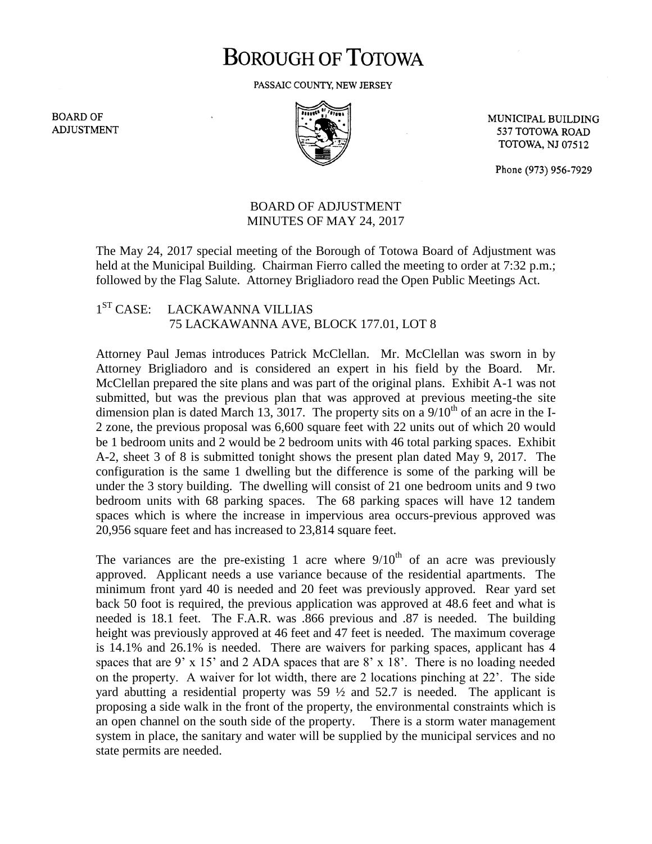## **BOROUGH OF TOTOWA**

PASSAIC COUNTY, NEW JERSEY

**BOARD OF ADJUSTMENT** 



MUNICIPAL BUILDING 537 TOTOWA ROAD **TOTOWA, NJ 07512** 

Phone (973) 956-7929

## BOARD OF ADJUSTMENT MINUTES OF MAY 24, 2017

The May 24, 2017 special meeting of the Borough of Totowa Board of Adjustment was held at the Municipal Building. Chairman Fierro called the meeting to order at 7:32 p.m.; followed by the Flag Salute. Attorney Brigliadoro read the Open Public Meetings Act.

## $1^{ST}$  CASE: LACKAWANNA VILLIAS 75 LACKAWANNA AVE, BLOCK 177.01, LOT 8

Attorney Paul Jemas introduces Patrick McClellan. Mr. McClellan was sworn in by Attorney Brigliadoro and is considered an expert in his field by the Board. Mr. McClellan prepared the site plans and was part of the original plans. Exhibit A-1 was not submitted, but was the previous plan that was approved at previous meeting-the site dimension plan is dated March 13, 3017. The property sits on a  $9/10<sup>th</sup>$  of an acre in the I-2 zone, the previous proposal was 6,600 square feet with 22 units out of which 20 would be 1 bedroom units and 2 would be 2 bedroom units with 46 total parking spaces. Exhibit A-2, sheet 3 of 8 is submitted tonight shows the present plan dated May 9, 2017. The configuration is the same 1 dwelling but the difference is some of the parking will be under the 3 story building. The dwelling will consist of 21 one bedroom units and 9 two bedroom units with 68 parking spaces. The 68 parking spaces will have 12 tandem spaces which is where the increase in impervious area occurs-previous approved was 20,956 square feet and has increased to 23,814 square feet.

The variances are the pre-existing 1 acre where  $9/10<sup>th</sup>$  of an acre was previously approved. Applicant needs a use variance because of the residential apartments. The minimum front yard 40 is needed and 20 feet was previously approved. Rear yard set back 50 foot is required, the previous application was approved at 48.6 feet and what is needed is 18.1 feet. The F.A.R. was .866 previous and .87 is needed. The building height was previously approved at 46 feet and 47 feet is needed. The maximum coverage is 14.1% and 26.1% is needed. There are waivers for parking spaces, applicant has 4 spaces that are 9' x 15' and 2 ADA spaces that are 8' x 18'. There is no loading needed on the property. A waiver for lot width, there are 2 locations pinching at 22'. The side yard abutting a residential property was  $59\frac{1}{2}$  and  $52.7$  is needed. The applicant is proposing a side walk in the front of the property, the environmental constraints which is an open channel on the south side of the property. There is a storm water management system in place, the sanitary and water will be supplied by the municipal services and no state permits are needed.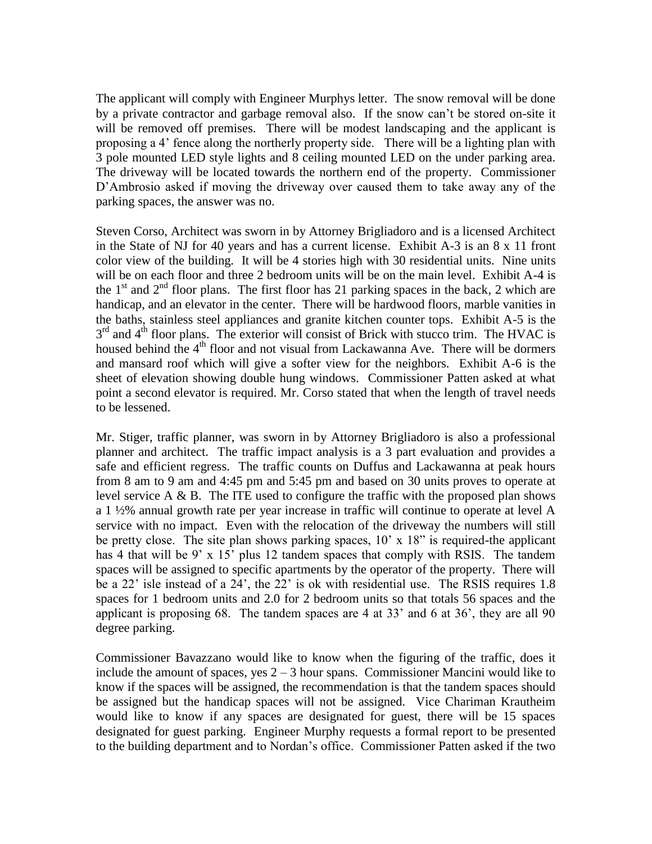The applicant will comply with Engineer Murphys letter. The snow removal will be done by a private contractor and garbage removal also. If the snow can't be stored on-site it will be removed off premises. There will be modest landscaping and the applicant is proposing a 4' fence along the northerly property side. There will be a lighting plan with 3 pole mounted LED style lights and 8 ceiling mounted LED on the under parking area. The driveway will be located towards the northern end of the property. Commissioner D'Ambrosio asked if moving the driveway over caused them to take away any of the parking spaces, the answer was no.

Steven Corso, Architect was sworn in by Attorney Brigliadoro and is a licensed Architect in the State of NJ for 40 years and has a current license. Exhibit A-3 is an 8 x 11 front color view of the building. It will be 4 stories high with 30 residential units. Nine units will be on each floor and three 2 bedroom units will be on the main level. Exhibit A-4 is the  $1<sup>st</sup>$  and  $2<sup>nd</sup>$  floor plans. The first floor has 21 parking spaces in the back, 2 which are handicap, and an elevator in the center. There will be hardwood floors, marble vanities in the baths, stainless steel appliances and granite kitchen counter tops. Exhibit A-5 is the 3<sup>rd</sup> and 4<sup>th</sup> floor plans. The exterior will consist of Brick with stucco trim. The HVAC is housed behind the 4<sup>th</sup> floor and not visual from Lackawanna Ave. There will be dormers and mansard roof which will give a softer view for the neighbors. Exhibit A-6 is the sheet of elevation showing double hung windows. Commissioner Patten asked at what point a second elevator is required. Mr. Corso stated that when the length of travel needs to be lessened.

Mr. Stiger, traffic planner, was sworn in by Attorney Brigliadoro is also a professional planner and architect. The traffic impact analysis is a 3 part evaluation and provides a safe and efficient regress. The traffic counts on Duffus and Lackawanna at peak hours from 8 am to 9 am and 4:45 pm and 5:45 pm and based on 30 units proves to operate at level service  $A \& B$ . The ITE used to configure the traffic with the proposed plan shows a 1 ½% annual growth rate per year increase in traffic will continue to operate at level A service with no impact. Even with the relocation of the driveway the numbers will still be pretty close. The site plan shows parking spaces, 10' x 18" is required-the applicant has 4 that will be 9' x 15' plus 12 tandem spaces that comply with RSIS. The tandem spaces will be assigned to specific apartments by the operator of the property. There will be a 22' isle instead of a 24', the 22' is ok with residential use. The RSIS requires 1.8 spaces for 1 bedroom units and 2.0 for 2 bedroom units so that totals 56 spaces and the applicant is proposing 68. The tandem spaces are 4 at 33' and 6 at 36', they are all 90 degree parking.

Commissioner Bavazzano would like to know when the figuring of the traffic, does it include the amount of spaces, yes  $2 - 3$  hour spans. Commissioner Mancini would like to know if the spaces will be assigned, the recommendation is that the tandem spaces should be assigned but the handicap spaces will not be assigned. Vice Chariman Krautheim would like to know if any spaces are designated for guest, there will be 15 spaces designated for guest parking. Engineer Murphy requests a formal report to be presented to the building department and to Nordan's office. Commissioner Patten asked if the two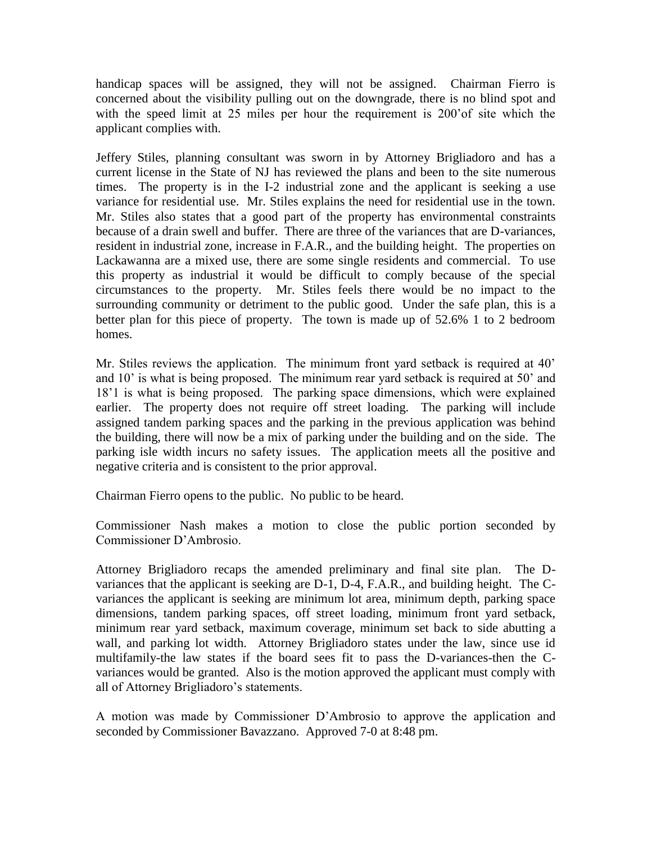handicap spaces will be assigned, they will not be assigned. Chairman Fierro is concerned about the visibility pulling out on the downgrade, there is no blind spot and with the speed limit at 25 miles per hour the requirement is 200'of site which the applicant complies with.

Jeffery Stiles, planning consultant was sworn in by Attorney Brigliadoro and has a current license in the State of NJ has reviewed the plans and been to the site numerous times. The property is in the I-2 industrial zone and the applicant is seeking a use variance for residential use. Mr. Stiles explains the need for residential use in the town. Mr. Stiles also states that a good part of the property has environmental constraints because of a drain swell and buffer. There are three of the variances that are D-variances, resident in industrial zone, increase in F.A.R., and the building height. The properties on Lackawanna are a mixed use, there are some single residents and commercial. To use this property as industrial it would be difficult to comply because of the special circumstances to the property. Mr. Stiles feels there would be no impact to the surrounding community or detriment to the public good. Under the safe plan, this is a better plan for this piece of property. The town is made up of 52.6% 1 to 2 bedroom homes.

Mr. Stiles reviews the application. The minimum front yard setback is required at 40' and 10' is what is being proposed. The minimum rear yard setback is required at 50' and 18'1 is what is being proposed. The parking space dimensions, which were explained earlier. The property does not require off street loading. The parking will include assigned tandem parking spaces and the parking in the previous application was behind the building, there will now be a mix of parking under the building and on the side. The parking isle width incurs no safety issues. The application meets all the positive and negative criteria and is consistent to the prior approval.

Chairman Fierro opens to the public. No public to be heard.

Commissioner Nash makes a motion to close the public portion seconded by Commissioner D'Ambrosio.

Attorney Brigliadoro recaps the amended preliminary and final site plan. The Dvariances that the applicant is seeking are D-1, D-4, F.A.R., and building height. The Cvariances the applicant is seeking are minimum lot area, minimum depth, parking space dimensions, tandem parking spaces, off street loading, minimum front yard setback, minimum rear yard setback, maximum coverage, minimum set back to side abutting a wall, and parking lot width. Attorney Brigliadoro states under the law, since use id multifamily-the law states if the board sees fit to pass the D-variances-then the Cvariances would be granted. Also is the motion approved the applicant must comply with all of Attorney Brigliadoro's statements.

A motion was made by Commissioner D'Ambrosio to approve the application and seconded by Commissioner Bavazzano. Approved 7-0 at 8:48 pm.